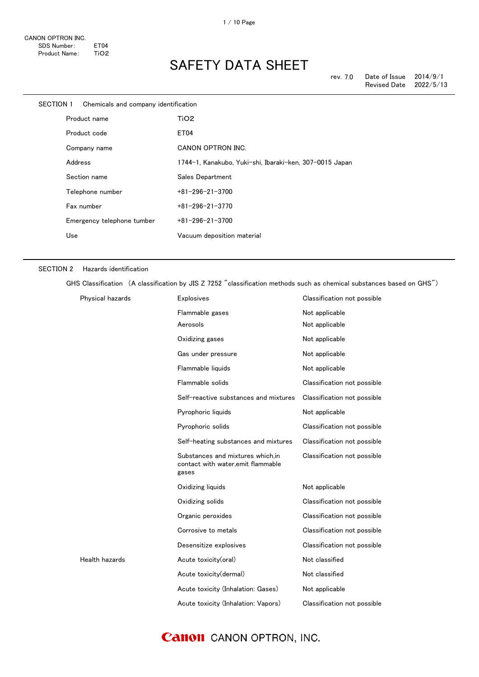| <b>SECTION 1</b> |         | Chemicals and company identification |                                                         |
|------------------|---------|--------------------------------------|---------------------------------------------------------|
|                  |         | Product name                         | TiO <sub>2</sub>                                        |
|                  |         | Product code                         | ET04                                                    |
|                  |         | Company name                         | CANON OPTRON INC.                                       |
|                  | Address |                                      | 1744-1, Kanakubo, Yuki-shi, Ibaraki-ken, 307-0015 Japan |
|                  |         | Section name                         | Sales Department                                        |
|                  |         | Telephone number                     | $+81 - 296 - 21 - 3700$                                 |
|                  |         | Fax number                           | $+81 - 296 - 21 - 3770$                                 |
|                  |         | Emergency telephone tumber           | $+81 - 296 - 21 - 3700$                                 |
|                  | Use     |                                      | Vacuum deposition material                              |
|                  |         |                                      |                                                         |

#### SECTION 2 Hazards identification

GHS Classification (A classification by JIS Z 7252 "classification methods such as chemical substances based on GHS")

| Physical hazards | <b>Explosives</b>                                                               | Classification not possible |
|------------------|---------------------------------------------------------------------------------|-----------------------------|
|                  | Flammable gases                                                                 | Not applicable              |
|                  | Aerosols                                                                        | Not applicable              |
|                  | Oxidizing gases                                                                 | Not applicable              |
|                  | Gas under pressure                                                              | Not applicable              |
|                  | Flammable liquids                                                               | Not applicable              |
|                  | Flammable solids                                                                | Classification not possible |
|                  | Self-reactive substances and mixtures                                           | Classification not possible |
|                  | Pyrophoric liquids                                                              | Not applicable              |
|                  | Pyrophoric solids                                                               | Classification not possible |
|                  | Self-heating substances and mixtures                                            | Classification not possible |
|                  | Substances and mixtures which.in<br>contact with water, emit flammable<br>gases | Classification not possible |
|                  | Oxidizing liquids                                                               | Not applicable              |
|                  | Oxidizing solids                                                                | Classification not possible |
|                  | Organic peroxides                                                               | Classification not possible |
|                  | Corrosive to metals                                                             | Classification not possible |
|                  | Desensitize explosives                                                          | Classification not possible |
| Health hazards   | Acute toxicity(oral)                                                            | Not classified              |
|                  | Acute toxicity(dermal)                                                          | Not classified              |
|                  | Acute toxicity (Inhalation: Gases)                                              | Not applicable              |
|                  | Acute toxicity (Inhalation: Vapors)                                             | Classification not possible |

### **Canon** CANON OPTRON, INC.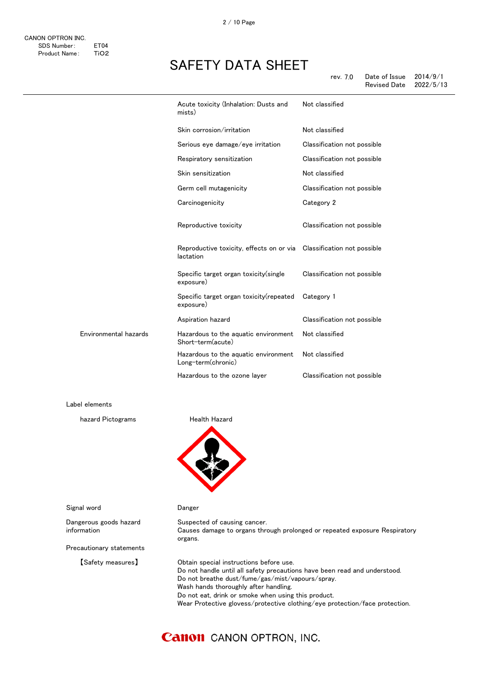| rev. 7.0 | Date of Issue       | 2014/9/1  |
|----------|---------------------|-----------|
|          | <b>Revised Date</b> | 2022/5/13 |

|                       | Acute toxicity (Inhalation: Dusts and<br>mists)                                   | Not classified              |
|-----------------------|-----------------------------------------------------------------------------------|-----------------------------|
|                       | Skin corrosion/irritation                                                         | Not classified              |
|                       | Serious eye damage/eye irritation                                                 | Classification not possible |
|                       | Respiratory sensitization                                                         | Classification not possible |
|                       | Skin sensitization                                                                | Not classified              |
|                       | Germ cell mutagenicity                                                            | Classification not possible |
|                       | Carcinogenicity                                                                   | Category 2                  |
|                       | Reproductive toxicity                                                             | Classification not possible |
|                       | Reproductive toxicity, effects on or via Classification not possible<br>lactation |                             |
|                       | Specific target organ toxicity (single<br>exposure)                               | Classification not possible |
|                       | Specific target organ toxicity(repeated<br>exposure)                              | Category 1                  |
|                       | Aspiration hazard                                                                 | Classification not possible |
| Environmental hazards | Hazardous to the aquatic environment<br>Short-term(acute)                         | Not classified              |
|                       | Hazardous to the aquatic environment<br>Long-term(chronic)                        | Not classified              |
|                       | Hazardous to the ozone layer                                                      | Classification not possible |
|                       |                                                                                   |                             |

Label elements

hazard Pictograms **Health Hazard** 



Suspected of causing cancer.

Signal word **Danger** 

Dangerous goods hazard information

Precautionary statements

Causes damage to organs through prolonged or repeated exposure Respiratory organs.

【Safety measures】 Obtain special instructions before use. Do not handle until all safety precautions have been read and understood. Do not breathe dust/fume/gas/mist/vapours/spray. Wash hands thoroughly after handling. Do not eat, drink or smoke when using this product. Wear Protective glovess/protective clothing/eye protection/face protection.

### **Canon** CANON OPTRON, INC.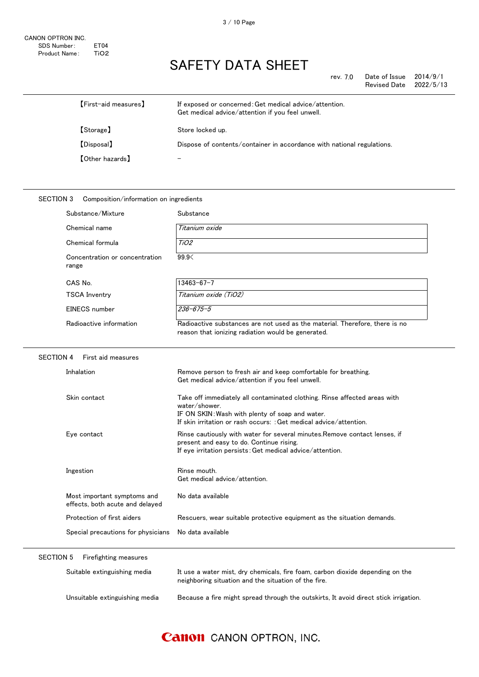rev. 7.0 Date of Issue  $2014/9/1$ Revised Date 2022/5/13

| [First-aid measures]   | If exposed or concerned: Get medical advice/attention.<br>Get medical advice/attention if you feel unwell. |
|------------------------|------------------------------------------------------------------------------------------------------------|
| [Storage]              | Store locked up.                                                                                           |
| [Disposal]             | Dispose of contents/container in accordance with national regulations.                                     |
| <b>[Other hazards]</b> |                                                                                                            |

### SECTION 3 Composition/information on ingredients Substance/Mixture Substance Chemical name Titanium oxide Chemical formula TiO2 Concentration or concentration range 99.9< CAS No. 13463-67-7 TSCA Inventry Titanium oxide (TiO2) EINECS number 236-675-5 Radioactive information Radioactive substances are not used as the material. Therefore, there is no reason that ionizing radiation would be generated. SECTION 4 First aid measures Inhalation Remove person to fresh air and keep comfortable for breathing. Get medical advice/attention if you feel unwell. Skin contact Take off immediately all contaminated clothing. Rinse affected areas with water/shower. IF ON SKIN:Wash with plenty of soap and water. If skin irritation or rash occurs: :Get medical advice/attention. Eye contact Rinse cautiously with water for several minutes.Remove contact lenses, if present and easy to do. Continue rising. If eye irritation persists:Get medical advice/attention. Ingestion **Rinse mouth.** Get medical advice/attention. Most important symptoms and effects, both acute and delayed No data available Protection of first aiders **Rescuers, wear suitable protective equipment** as the situation demands. Special precautions for physicians No data available SECTION 5 Firefighting measures Suitable extinguishing media It use a water mist, dry chemicals, fire foam, carbon dioxide depending on the

Unsuitable extinguishing media Because a fire might spread through the outskirts, It avoid direct stick irrigation.

neighboring situation and the situation of the fire.

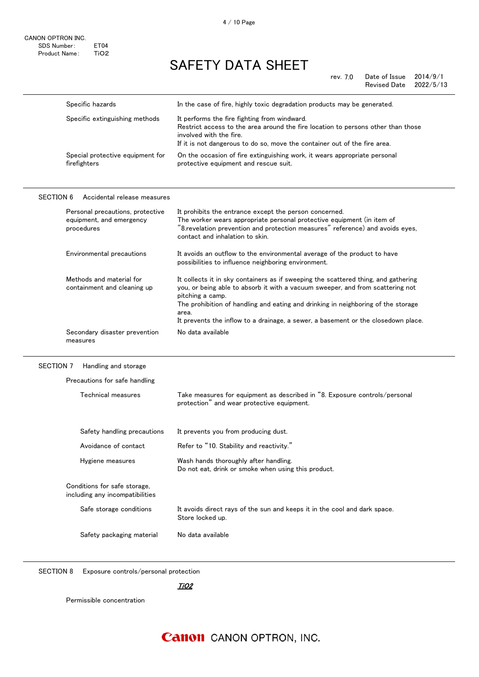rev. 7.0 Date of Issue 2014/9/1<br>Revised Date 2022/5/13 Revised Date

|                  | Specific hazards                                                           | In the case of fire, highly toxic degradation products may be generated.                                                                                                                                                                                                                                                                                                    |
|------------------|----------------------------------------------------------------------------|-----------------------------------------------------------------------------------------------------------------------------------------------------------------------------------------------------------------------------------------------------------------------------------------------------------------------------------------------------------------------------|
|                  | Specific extinguishing methods                                             | It performs the fire fighting from windward.<br>Restrict access to the area around the fire location to persons other than those<br>involved with the fire.<br>If it is not dangerous to do so, move the container out of the fire area.                                                                                                                                    |
|                  | Special protective equipment for<br>firefighters                           | On the occasion of fire extinguishing work, it wears appropriate personal<br>protective equipment and rescue suit.                                                                                                                                                                                                                                                          |
| <b>SECTION 6</b> | Accidental release measures                                                |                                                                                                                                                                                                                                                                                                                                                                             |
|                  | Personal precautions, protective<br>equipment, and emergency<br>procedures | It prohibits the entrance except the person concerned.<br>The worker wears appropriate personal protective equipment (in item of<br>"8.revelation prevention and protection measures" reference) and avoids eyes,<br>contact and inhalation to skin.                                                                                                                        |
|                  | Environmental precautions                                                  | It avoids an outflow to the environmental average of the product to have<br>possibilities to influence neighboring environment.                                                                                                                                                                                                                                             |
|                  | Methods and material for<br>containment and cleaning up                    | It collects it in sky containers as if sweeping the scattered thing, and gathering<br>you, or being able to absorb it with a vacuum sweeper, and from scattering not<br>pitching a camp.<br>The prohibition of handling and eating and drinking in neighboring of the storage<br>area.<br>It prevents the inflow to a drainage, a sewer, a basement or the closedown place. |
|                  | Secondary disaster prevention<br>measures                                  | No data available                                                                                                                                                                                                                                                                                                                                                           |

#### SECTION 7 Handling and storage

| Technical measures                                              | Take measures for equipment as described in "8. Exposure controls/personal<br>protection" and wear protective equipment. |
|-----------------------------------------------------------------|--------------------------------------------------------------------------------------------------------------------------|
| Safety handling precautions                                     | It prevents you from producing dust.                                                                                     |
| Avoidance of contact                                            | Refer to "10. Stability and reactivity."                                                                                 |
| Hygiene measures                                                | Wash hands thoroughly after handling.<br>Do not eat, drink or smoke when using this product.                             |
| Conditions for safe storage,<br>including any incompatibilities |                                                                                                                          |
| Safe storage conditions                                         | It avoids direct rays of the sun and keeps it in the cool and dark space.<br>Store locked up.                            |
|                                                                 |                                                                                                                          |

SECTION 8 Exposure controls/personal protection

<u>TiO2</u>

Permissible concentration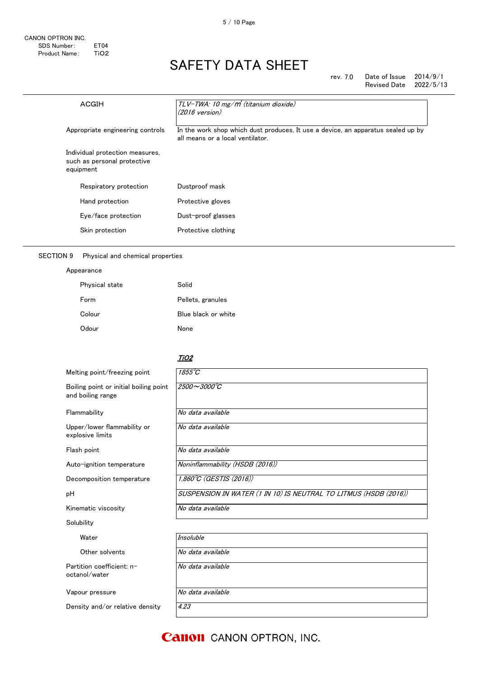rev. 7.0 Date of Issue 2014/9/1 Revised Date 2022/5/13

| <b>ACGIH</b>                     |                                                                | TLV-TWA: 10 mg/m <sup>3</sup> (titanium dioxide)<br>$(2016 \text{ version})$                                         |
|----------------------------------|----------------------------------------------------------------|----------------------------------------------------------------------------------------------------------------------|
| Appropriate engineering controls |                                                                | In the work shop which dust produces, It use a device, an apparatus sealed up by<br>all means or a local ventilator. |
| equipment                        | Individual protection measures,<br>such as personal protective |                                                                                                                      |
|                                  | Respiratory protection                                         | Dustproof mask                                                                                                       |
|                                  | Hand protection                                                | Protective gloves                                                                                                    |
|                                  | Eye/face protection                                            | Dust-proof glasses                                                                                                   |
|                                  | Skin protection                                                | Protective clothing                                                                                                  |

### SECTION 9 Physical and chemical properties

Appearance

| Physical state | Solid               |
|----------------|---------------------|
| Form           | Pellets, granules   |
| Colour         | Blue black or white |
| Odour          | None                |

#### <u>TiO2</u>

| Melting point/freezing point                                | $1855^{\circ}C$                                                  |
|-------------------------------------------------------------|------------------------------------------------------------------|
| Boiling point or initial boiling point<br>and boiling range | $2500 - 3000^{\circ}C$                                           |
| Flammability                                                | No data available                                                |
| Upper/lower flammability or<br>explosive limits             | No data available                                                |
| Flash point                                                 | No data available                                                |
| Auto-ignition temperature                                   | Noninflammability (HSDB (2016))                                  |
| Decomposition temperature                                   | 1,860°C (GESTIS (2016))                                          |
| рH                                                          | SUSPENSION IN WATER (1 IN 10) IS NEUTRAL TO LITMUS (HSDB (2016)) |
| Kinematic viscosity                                         | No data available                                                |
| Solubility                                                  |                                                                  |
| Water                                                       | <b>Insoluble</b>                                                 |
| Other solvents                                              | No data available                                                |
| Partition coefficient: n-<br>octanol/water                  | No data available                                                |
| Vapour pressure                                             | No data available                                                |
| Density and/or relative density                             | 4.23                                                             |

**Canon** CANON OPTRON, INC.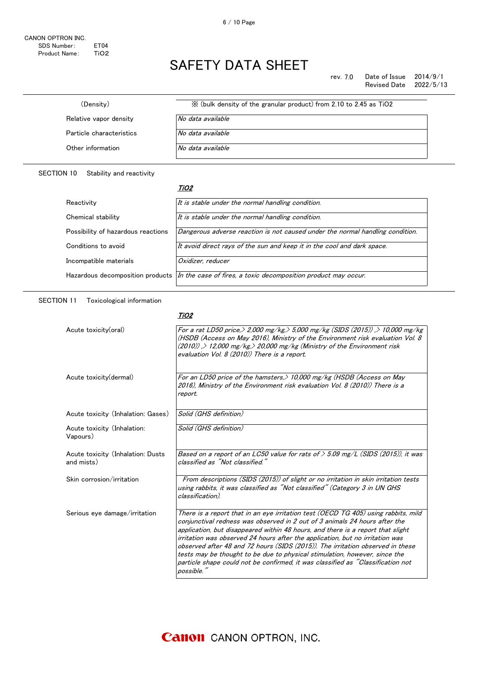rev. 7.0 Date of Issue 2014/9/1<br>Revised Date 2022/5/13 Revised Date

| X (bulk density of the granular product) from 2.10 to 2.45 as TiO2 |
|--------------------------------------------------------------------|
| No data available                                                  |
| No data available                                                  |
| No data available                                                  |
|                                                                    |

#### SECTION 10 Stability and reactivity

#### <u>TiO2</u>

| Reactivity                         | It is stable under the normal handling condition.                                                 |
|------------------------------------|---------------------------------------------------------------------------------------------------|
| Chemical stability                 | It is stable under the normal handling condition.                                                 |
| Possibility of hazardous reactions | Dangerous adverse reaction is not caused under the normal handling condition.                     |
| Conditions to avoid                | It avoid direct rays of the sun and keep it in the cool and dark space.                           |
| Incompatible materials             | Oxidizer, reducer                                                                                 |
|                                    | Hazardous decomposition products   In the case of fires, a toxic decomposition product may occur. |
|                                    |                                                                                                   |

### SECTION 11 Toxicological information

#### <u>TiO2</u>

| Acute toxicity(oral)                            | For a rat LD50 price, > 2,000 mg/kg, > 5,000 mg/kg (SIDS (2015)) , > 10,000 mg/kg<br>(HSDB (Access on May 2016), Ministry of the Environment risk evaluation Vol. 8<br>(2010)), > 12,000 mg/kg, > 20,000 mg/kg (Ministry of the Environment risk<br>evaluation Vol. 8 (2010)) There is a report.                                                                                                                                                                                                                                                                                                     |
|-------------------------------------------------|------------------------------------------------------------------------------------------------------------------------------------------------------------------------------------------------------------------------------------------------------------------------------------------------------------------------------------------------------------------------------------------------------------------------------------------------------------------------------------------------------------------------------------------------------------------------------------------------------|
| Acute toxicity (dermal)                         | For an LD50 price of the hamsters, $>$ 10,000 mg/kg (HSDB (Access on May<br>2016). Ministry of the Environment risk evaluation Vol. 8 (2010)) There is a<br>report.                                                                                                                                                                                                                                                                                                                                                                                                                                  |
| Acute toxicity (Inhalation: Gases)              | Solid (GHS definition)                                                                                                                                                                                                                                                                                                                                                                                                                                                                                                                                                                               |
| Acute toxicity (Inhalation:<br>Vapours)         | Solid (GHS definition)                                                                                                                                                                                                                                                                                                                                                                                                                                                                                                                                                                               |
| Acute toxicity (Inhalation: Dusts<br>and mists) | Based on a report of an LC50 value for rats of $> 5.09$ mg/L (SIDS (2015)), it was<br>classified as "Not classified."                                                                                                                                                                                                                                                                                                                                                                                                                                                                                |
| Skin corrosion/irritation                       | From descriptions (SIDS (2015)) of slight or no irritation in skin irritation tests<br>using rabbits, it was classified as "Not classified" (Category 3 in UN GHS<br>classification).                                                                                                                                                                                                                                                                                                                                                                                                                |
| Serious eye damage/irritation                   | There is a report that in an eye irritation test (OECD TG 405) using rabbits, mild<br>conjunctival redness was observed in 2 out of 3 animals 24 hours after the<br>application, but disappeared within 48 hours, and there is a report that slight<br>irritation was observed 24 hours after the application, but no irritation was<br>observed after 48 and 72 hours (SIDS (2015)). The irritation observed in these<br>tests may be thought to be due to physical stimulation, however, since the<br>particle shape could not be confirmed, it was classified as "Classification not<br>possible. |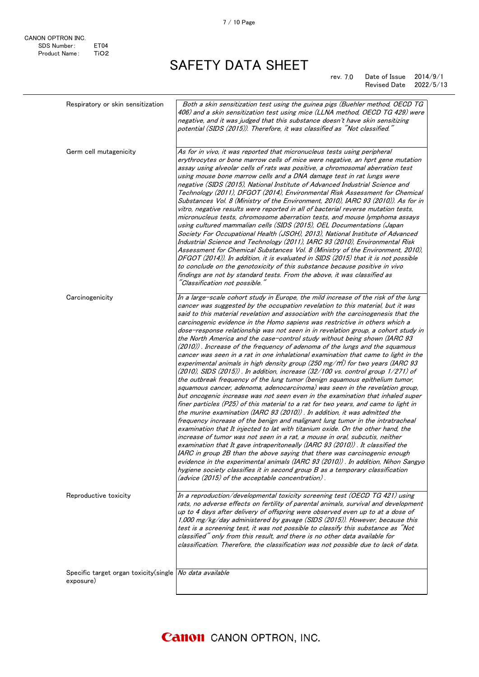| Respiratory or skin sensitization                                    | Both a skin sensitization test using the guinea pigs (Buehler method, OECD TG<br>406) and a skin sensitization test using mice (LLNA method, OECD TG 429) were<br>negative, and it was judged that this substance doesn't have skin sensitizing<br>potential (SIDS (2015)). Therefore, it was classified as "Not classified."                                                                                                                                                                                                                                                                                                                                                                                                                                                                                                                                                                                                                                                                                                                                                                                                                                                                                                                                                                                                                                                                                                                                                                                                                                                                                                                                                                                                                                                                                                                                                                                                   |
|----------------------------------------------------------------------|---------------------------------------------------------------------------------------------------------------------------------------------------------------------------------------------------------------------------------------------------------------------------------------------------------------------------------------------------------------------------------------------------------------------------------------------------------------------------------------------------------------------------------------------------------------------------------------------------------------------------------------------------------------------------------------------------------------------------------------------------------------------------------------------------------------------------------------------------------------------------------------------------------------------------------------------------------------------------------------------------------------------------------------------------------------------------------------------------------------------------------------------------------------------------------------------------------------------------------------------------------------------------------------------------------------------------------------------------------------------------------------------------------------------------------------------------------------------------------------------------------------------------------------------------------------------------------------------------------------------------------------------------------------------------------------------------------------------------------------------------------------------------------------------------------------------------------------------------------------------------------------------------------------------------------|
| Germ cell mutagenicity                                               | As for in vivo, it was reported that micronucleus tests using peripheral<br>erythrocytes or bone marrow cells of mice were negative, an hprt gene mutation<br>assay using alveolar cells of rats was positive, a chromosomal aberration test<br>using mouse bone marrow cells and a DNA damage test in rat lungs were<br>negative (SIDS (2015), National Institute of Advanced Industrial Science and<br>Technology (2011), DFGOT (2014), Environmental Risk Assessment for Chemical<br>Substances Vol. 8 (Ministry of the Environment, 2010), IARC 93 (2010)). As for in<br>vitro, negative results were reported in all of bacterial reverse mutation tests,<br>micronucleus tests, chromosome aberration tests, and mouse lymphoma assays<br>using cultured mammalian cells (SIDS (2015), OEL Documentations (Japan<br>Society For Occupational Health (JSOH), 2013), National Institute of Advanced<br>Industrial Science and Technology (2011), IARC 93 (2010), Environmental Risk<br>Assessment for Chemical Substances Vol. 8 (Ministry of the Environment, 2010),<br>DFGOT (2014)). In addition, it is evaluated in SIDS (2015) that it is not possible<br>to conclude on the genotoxicity of this substance because positive in vivo<br>findings are not by standard tests. From the above, it was classified as<br>"Classification not possible."                                                                                                                                                                                                                                                                                                                                                                                                                                                                                                                                                                     |
| Carcinogenicity                                                      | In a large-scale cohort study in Europe, the mild increase of the risk of the lung<br>cancer was suggested by the occupation revelation to this material, but it was<br>said to this material revelation and association with the carcinogenesis that the<br>carcinogenic evidence in the Homo sapiens was restrictive in others which a<br>dose-response relationship was not seen in in revelation group, a cohort study in<br>the North America and the case-control study without being shown (IARC 93<br>(2010)). Increase of the frequency of adenoma of the lungs and the squamous<br>cancer was seen in a rat in one inhalational examination that came to light in the<br>experimental animals in high density group (250 mg/m3) for two years (IARC 93<br>$(2010)$ , SIDS $(2015)$ ). In addition, increase $(32/100$ vs. control group $1/271$ ) of<br>the outbreak frequency of the lung tumor (benign squamous epithelium tumor,<br>squamous cancer, adenoma, adenocarcinoma) was seen in the revelation group,<br>but oncogenic increase was not seen even in the examination that inhaled super<br>finer particles (P25) of this material to a rat for two years, and came to light in<br>the murine examination (IARC 93 (2010)) . In addition, it was admitted the<br>frequency increase of the benign and malignant lung tumor in the intratracheal<br>examination that It injected to lat with titanium oxide. On the other hand, the<br>increase of tumor was not seen in a rat, a mouse in oral, subcutis, neither<br>examination that It gave intraperitoneally (IARC 93 (2010)). It classified the<br>IARC in group 2B than the above saying that there was carcinogenic enough<br>evidence in the experimental animals (IARC 93 (2010)). In addition, Nihon Sangyo<br>hygiene society classifies it in second group B as a temporary classification<br>(advice (2015) of the acceptable concentration). |
| Reproductive toxicity                                                | In a reproduction/developmental toxicity screening test (OECD TG 421) using<br>rats, no adverse effects on fertility of parental animals, survival and development<br>up to 4 days after delivery of offspring were observed even up to at a dose of<br>1,000 mg/kg/day administered by gavage (SIDS (2015)). However, because this<br>test is a screening test, it was not possible to classify this substance as "Not<br>classified" only from this result, and there is no other data available for<br>classification. Therefore, the classification was not possible due to lack of data.                                                                                                                                                                                                                                                                                                                                                                                                                                                                                                                                                                                                                                                                                                                                                                                                                                                                                                                                                                                                                                                                                                                                                                                                                                                                                                                                   |
| Specific target organ toxicity(single No data available<br>exposure) |                                                                                                                                                                                                                                                                                                                                                                                                                                                                                                                                                                                                                                                                                                                                                                                                                                                                                                                                                                                                                                                                                                                                                                                                                                                                                                                                                                                                                                                                                                                                                                                                                                                                                                                                                                                                                                                                                                                                 |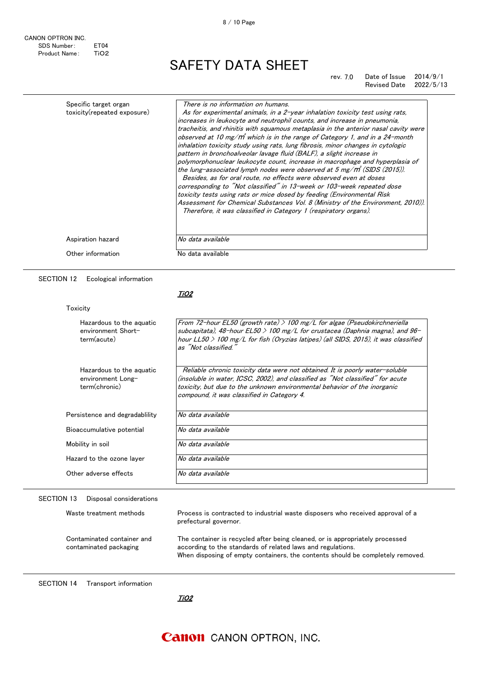#### rev. 7.0 Date of Issue 2014/9/1 Revised Date 2022/5/13

| Specific target organ       | There is no information on humans.                                                                                                                                                                                                                                                                                                                                                                                                                                                                                                                                                                                                                                                                                                                                                                                                                                                                                                                                                                                                                |
|-----------------------------|---------------------------------------------------------------------------------------------------------------------------------------------------------------------------------------------------------------------------------------------------------------------------------------------------------------------------------------------------------------------------------------------------------------------------------------------------------------------------------------------------------------------------------------------------------------------------------------------------------------------------------------------------------------------------------------------------------------------------------------------------------------------------------------------------------------------------------------------------------------------------------------------------------------------------------------------------------------------------------------------------------------------------------------------------|
| toxicity(repeated exposure) | As for experimental animals, in a 2-year inhalation toxicity test using rats,<br>increases in leukocyte and neutrophil counts, and increase in pneumonia,<br>tracheitis, and rhinitis with squamous metaplasia in the anterior nasal cavity were<br>observed at 10 mg/m <sup>3</sup> which is in the range of Category 1, and in a 24-month<br>inhalation toxicity study using rats, lung fibrosis, minor changes in cytologic<br>pattern in bronchoalveolar lavage fluid (BALF), a slight increase in<br>polymorphonuclear leukocyte count, increase in macrophage and hyperplasia of<br>the lung-associated lymph nodes were observed at 5 mg/m (SIDS (2015)).<br>Besides, as for oral route, no effects were observed even at doses<br>corresponding to "Not classified" in 13-week or 103-week repeated dose<br>toxicity tests using rats or mice dosed by feeding (Environmental Risk<br>Assessment for Chemical Substances Vol. 8 (Ministry of the Environment, 2010)).<br>Therefore, it was classified in Category 1 (respiratory organs). |
| Aspiration hazard           | No data available                                                                                                                                                                                                                                                                                                                                                                                                                                                                                                                                                                                                                                                                                                                                                                                                                                                                                                                                                                                                                                 |
| Other information           | No data available                                                                                                                                                                                                                                                                                                                                                                                                                                                                                                                                                                                                                                                                                                                                                                                                                                                                                                                                                                                                                                 |

#### SECTION 12 Ecological information

<u>TiO2</u>

| Hazardous to the aguatic<br>environment Short-<br>term(acute)  | From 72-hour EL50 (growth rate) $>$ 100 mg/L for algae (Pseudokirchneriella<br>subcapitata), 48-hour EL50 $>$ 100 mg/L for crustacea (Daphnia magna), and 96-<br>hour LL50 $>$ 100 mg/L for fish (Oryzias latipes) (all SIDS, 2015), it was classified<br>as "Not classified."           |
|----------------------------------------------------------------|------------------------------------------------------------------------------------------------------------------------------------------------------------------------------------------------------------------------------------------------------------------------------------------|
| Hazardous to the aquatic<br>environment Long-<br>term(chronic) | Reliable chronic toxicity data were not obtained. It is poorly water-soluble<br>(insoluble in water, ICSC, 2002), and classified as "Not classified" for acute<br>toxicity, but due to the unknown environmental behavior of the inorganic<br>compound, it was classified in Category 4. |
| Persistence and degradability                                  | No data available                                                                                                                                                                                                                                                                        |
| Bioaccumulative potential                                      | No data available                                                                                                                                                                                                                                                                        |
| Mobility in soil                                               | No data available                                                                                                                                                                                                                                                                        |
| Hazard to the ozone layer                                      | No data available                                                                                                                                                                                                                                                                        |
| Other adverse effects                                          | No data available                                                                                                                                                                                                                                                                        |

### SECTION 13 Disposal considerations

| Waste treatment methods                              | Process is contracted to industrial waste disposers who received approval of a<br>prefectural governor.                                                                                                                       |
|------------------------------------------------------|-------------------------------------------------------------------------------------------------------------------------------------------------------------------------------------------------------------------------------|
| Contaminated container and<br>contaminated packaging | The container is recycled after being cleaned, or is appropriately processed<br>according to the standards of related laws and regulations.<br>When disposing of empty containers, the contents should be completely removed. |

SECTION 14 Transport information

TiO2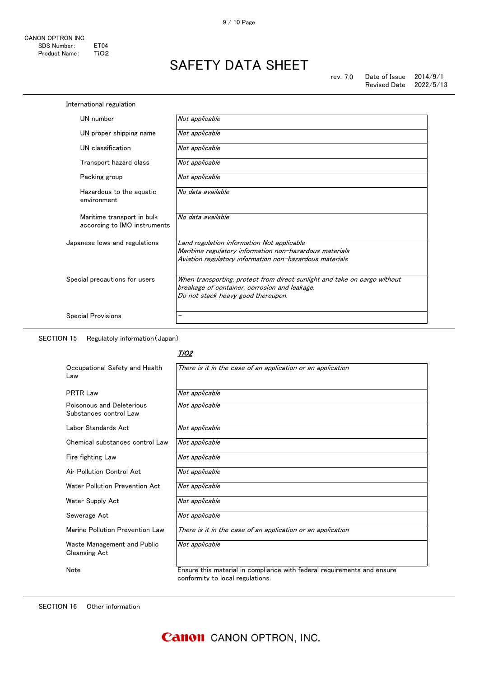| UN number                                                  | Not applicable                                                            |
|------------------------------------------------------------|---------------------------------------------------------------------------|
| UN proper shipping name                                    | Not applicable                                                            |
| UN classification                                          | Not applicable                                                            |
| Transport hazard class                                     | Not applicable                                                            |
| Packing group                                              | Not applicable                                                            |
| Hazardous to the aguatic<br>environment                    | No data available                                                         |
| Maritime transport in bulk<br>according to IMO instruments | No data available                                                         |
| Japanese lows and regulations                              | Land regulation information Not applicable                                |
|                                                            | Maritime regulatory information non-hazardous materials                   |
|                                                            | Aviation regulatory information non-hazardous materials                   |
| Special precautions for users                              | When transporting, protect from direct sunlight and take on cargo without |
|                                                            | breakage of container, corrosion and leakage.                             |
|                                                            | Do not stack heavy good thereupon.                                        |

SECTION 15 Regulatoly information(Japan)

#### <u>TiO2</u>

| Occupational Safety and Health<br>Law               | There is it in the case of an application or an application                                                 |
|-----------------------------------------------------|-------------------------------------------------------------------------------------------------------------|
| <b>PRTR Law</b>                                     | Not applicable                                                                                              |
| Poisonous and Deleterious<br>Substances control Law | Not applicable                                                                                              |
| Labor Standards Act                                 | Not applicable                                                                                              |
| Chemical substances control Law                     | Not applicable                                                                                              |
| Fire fighting Law                                   | Not applicable                                                                                              |
| Air Pollution Control Act                           | Not applicable                                                                                              |
| Water Pollution Prevention Act                      | Not applicable                                                                                              |
| Water Supply Act                                    | Not applicable                                                                                              |
| Sewerage Act                                        | Not applicable                                                                                              |
| Marine Pollution Prevention Law                     | There is it in the case of an application or an application                                                 |
| Waste Management and Public<br><b>Cleansing Act</b> | Not applicable                                                                                              |
| Note                                                | Ensure this material in compliance with federal requirements and ensure<br>conformity to local regulations. |